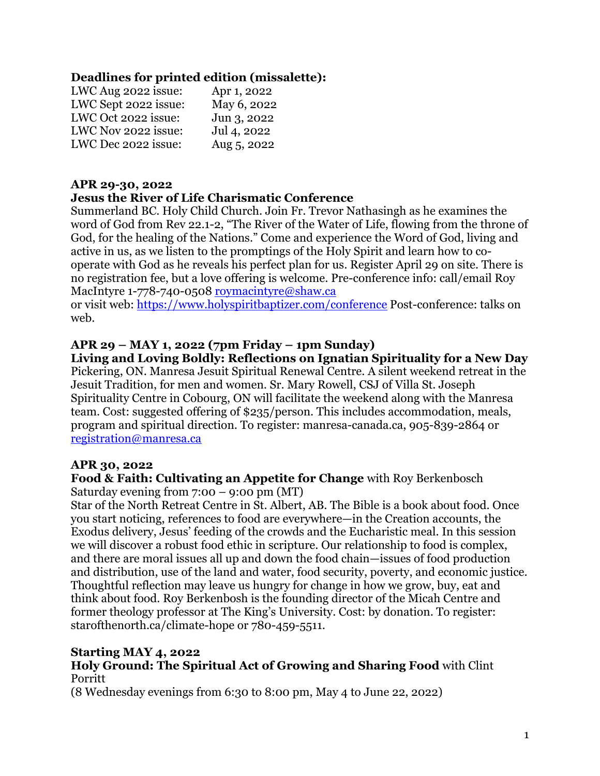### **Deadlines for printed edition (missalette):**

| LWC Aug 2022 issue:  | Apr 1, 2022 |
|----------------------|-------------|
| LWC Sept 2022 issue: | May 6, 2022 |
| LWC Oct 2022 issue:  | Jun 3, 2022 |
| LWC Nov 2022 issue:  | Jul 4, 2022 |
| LWC Dec 2022 issue:  | Aug 5, 2022 |

#### **APR 29-30, 2022**

#### **Jesus the River of Life Charismatic Conference**

Summerland BC. Holy Child Church. Join Fr. Trevor Nathasingh as he examines the word of God from Rev 22.1-2, "The River of the Water of Life, flowing from the throne of God, for the healing of the Nations." Come and experience the Word of God, living and active in us, as we listen to the promptings of the Holy Spirit and learn how to cooperate with God as he reveals his perfect plan for us. Register April 29 on site. There is no registration fee, but a love offering is welcome. Pre-conference info: call/email Roy MacIntyre 1-778-740-0508 roymacintyre@shaw.ca

or visit web: https://www.holyspiritbaptizer.com/conference Post-conference: talks on web.

#### **APR 29 – MAY 1, 2022 (7pm Friday – 1pm Sunday)**

**Living and Loving Boldly: Reflections on Ignatian Spirituality for a New Day**  Pickering, ON. Manresa Jesuit Spiritual Renewal Centre. A silent weekend retreat in the Jesuit Tradition, for men and women. Sr. Mary Rowell, CSJ of Villa St. Joseph Spirituality Centre in Cobourg, ON will facilitate the weekend along with the Manresa team. Cost: suggested offering of \$235/person. This includes accommodation, meals, program and spiritual direction. To register: manresa-canada.ca, 905-839-2864 or registration@manresa.ca

#### **APR 30, 2022**

#### **Food & Faith: Cultivating an Appetite for Change** with Roy Berkenbosch Saturday evening from 7:00 – 9:00 pm (MT)

Star of the North Retreat Centre in St. Albert, AB. The Bible is a book about food. Once you start noticing, references to food are everywhere—in the Creation accounts, the Exodus delivery, Jesus' feeding of the crowds and the Eucharistic meal. In this session we will discover a robust food ethic in scripture. Our relationship to food is complex, and there are moral issues all up and down the food chain—issues of food production and distribution, use of the land and water, food security, poverty, and economic justice. Thoughtful reflection may leave us hungry for change in how we grow, buy, eat and think about food. Roy Berkenbosh is the founding director of the Micah Centre and former theology professor at The King's University. Cost: by donation. To register: starofthenorth.ca/climate-hope or 780-459-5511.

#### **Starting MAY 4, 2022 Holy Ground: The Spiritual Act of Growing and Sharing Food** with Clint Porritt

(8 Wednesday evenings from 6:30 to 8:00 pm, May 4 to June 22, 2022)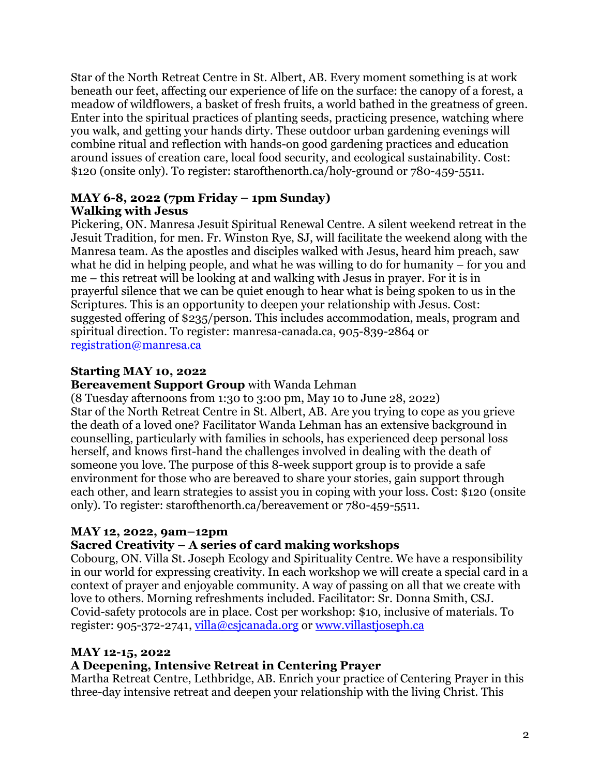Star of the North Retreat Centre in St. Albert, AB. Every moment something is at work beneath our feet, affecting our experience of life on the surface: the canopy of a forest, a meadow of wildflowers, a basket of fresh fruits, a world bathed in the greatness of green. Enter into the spiritual practices of planting seeds, practicing presence, watching where you walk, and getting your hands dirty. These outdoor urban gardening evenings will combine ritual and reflection with hands-on good gardening practices and education around issues of creation care, local food security, and ecological sustainability. Cost: \$120 (onsite only). To register: starofthenorth.ca/holy-ground or 780-459-5511.

## **MAY 6-8, 2022 (7pm Friday – 1pm Sunday) Walking with Jesus**

Pickering, ON. Manresa Jesuit Spiritual Renewal Centre. A silent weekend retreat in the Jesuit Tradition, for men. Fr. Winston Rye, SJ, will facilitate the weekend along with the Manresa team. As the apostles and disciples walked with Jesus, heard him preach, saw what he did in helping people, and what he was willing to do for humanity – for you and me – this retreat will be looking at and walking with Jesus in prayer. For it is in prayerful silence that we can be quiet enough to hear what is being spoken to us in the Scriptures. This is an opportunity to deepen your relationship with Jesus. Cost: suggested offering of \$235/person. This includes accommodation, meals, program and spiritual direction. To register: manresa-canada.ca, 905-839-2864 or registration@manresa.ca

# **Starting MAY 10, 2022**

**Bereavement Support Group** with Wanda Lehman

(8 Tuesday afternoons from 1:30 to 3:00 pm, May 10 to June 28, 2022) Star of the North Retreat Centre in St. Albert, AB. Are you trying to cope as you grieve the death of a loved one? Facilitator Wanda Lehman has an extensive background in counselling, particularly with families in schools, has experienced deep personal loss herself, and knows first-hand the challenges involved in dealing with the death of someone you love. The purpose of this 8-week support group is to provide a safe environment for those who are bereaved to share your stories, gain support through each other, and learn strategies to assist you in coping with your loss. Cost: \$120 (onsite only). To register: starofthenorth.ca/bereavement or 780-459-5511.

## **MAY 12, 2022, 9am–12pm**

## **Sacred Creativity – A series of card making workshops**

Cobourg, ON. Villa St. Joseph Ecology and Spirituality Centre. We have a responsibility in our world for expressing creativity. In each workshop we will create a special card in a context of prayer and enjoyable community. A way of passing on all that we create with love to others. Morning refreshments included. Facilitator: Sr. Donna Smith, CSJ. Covid-safety protocols are in place. Cost per workshop: \$10, inclusive of materials. To register: 905-372-2741, villa@csjcanada.org or www.villastjoseph.ca

## **MAY 12-15, 2022**

## **A Deepening, Intensive Retreat in Centering Prayer**

Martha Retreat Centre, Lethbridge, AB. Enrich your practice of Centering Prayer in this three-day intensive retreat and deepen your relationship with the living Christ. This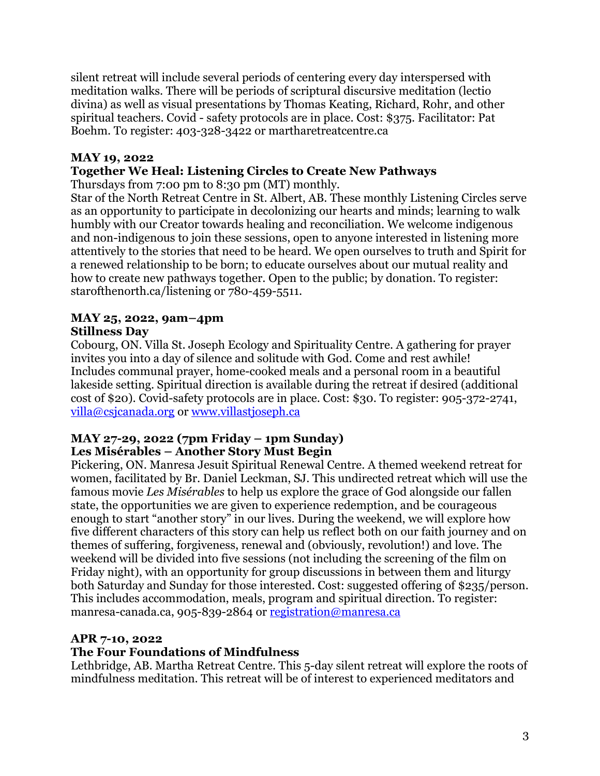silent retreat will include several periods of centering every day interspersed with meditation walks. There will be periods of scriptural discursive meditation (lectio divina) as well as visual presentations by Thomas Keating, Richard, Rohr, and other spiritual teachers. Covid - safety protocols are in place. Cost: \$375. Facilitator: Pat Boehm. To register: 403-328-3422 or martharetreatcentre.ca

### **MAY 19, 2022**

## **Together We Heal: Listening Circles to Create New Pathways**

Thursdays from 7:00 pm to 8:30 pm (MT) monthly.

Star of the North Retreat Centre in St. Albert, AB. These monthly Listening Circles serve as an opportunity to participate in decolonizing our hearts and minds; learning to walk humbly with our Creator towards healing and reconciliation. We welcome indigenous and non-indigenous to join these sessions, open to anyone interested in listening more attentively to the stories that need to be heard. We open ourselves to truth and Spirit for a renewed relationship to be born; to educate ourselves about our mutual reality and how to create new pathways together. Open to the public; by donation. To register: starofthenorth.ca/listening or 780-459-5511.

#### **MAY 25, 2022, 9am–4pm Stillness Day**

Cobourg, ON. Villa St. Joseph Ecology and Spirituality Centre. A gathering for prayer invites you into a day of silence and solitude with God. Come and rest awhile! Includes communal prayer, home-cooked meals and a personal room in a beautiful lakeside setting. Spiritual direction is available during the retreat if desired (additional cost of \$20). Covid-safety protocols are in place. Cost: \$30. To register: 905-372-2741, villa@csjcanada.org or www.villastjoseph.ca

### **MAY 27-29, 2022 (7pm Friday – 1pm Sunday) Les Misérables – Another Story Must Begin**

Pickering, ON. Manresa Jesuit Spiritual Renewal Centre. A themed weekend retreat for women, facilitated by Br. Daniel Leckman, SJ. This undirected retreat which will use the famous movie *Les Misérables* to help us explore the grace of God alongside our fallen state, the opportunities we are given to experience redemption, and be courageous enough to start "another story" in our lives. During the weekend, we will explore how five different characters of this story can help us reflect both on our faith journey and on themes of suffering, forgiveness, renewal and (obviously, revolution!) and love. The weekend will be divided into five sessions (not including the screening of the film on Friday night), with an opportunity for group discussions in between them and liturgy both Saturday and Sunday for those interested. Cost: suggested offering of \$235/person. This includes accommodation, meals, program and spiritual direction. To register: manresa-canada.ca, 905-839-2864 or registration@manresa.ca

## **APR 7-10, 2022**

## **The Four Foundations of Mindfulness**

Lethbridge, AB. Martha Retreat Centre. This 5-day silent retreat will explore the roots of mindfulness meditation. This retreat will be of interest to experienced meditators and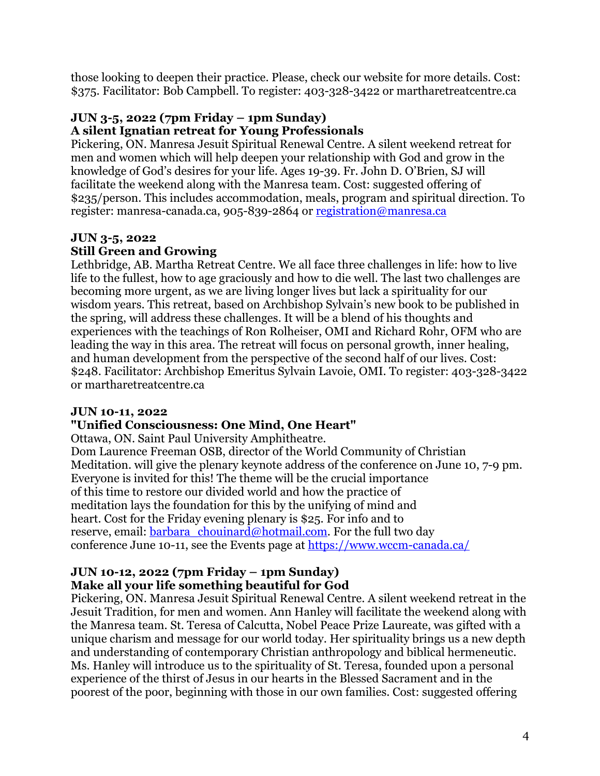those looking to deepen their practice. Please, check our website for more details. Cost: \$375. Facilitator: Bob Campbell. To register: 403-328-3422 or martharetreatcentre.ca

#### **JUN 3-5, 2022 (7pm Friday – 1pm Sunday) A silent Ignatian retreat for Young Professionals**

Pickering, ON. Manresa Jesuit Spiritual Renewal Centre. A silent weekend retreat for men and women which will help deepen your relationship with God and grow in the knowledge of God's desires for your life. Ages 19-39. Fr. John D. O'Brien, SJ will facilitate the weekend along with the Manresa team. Cost: suggested offering of \$235/person. This includes accommodation, meals, program and spiritual direction. To register: manresa-canada.ca, 905-839-2864 or registration@manresa.ca

# **JUN 3-5, 2022 Still Green and Growing**

Lethbridge, AB. Martha Retreat Centre. We all face three challenges in life: how to live life to the fullest, how to age graciously and how to die well. The last two challenges are becoming more urgent, as we are living longer lives but lack a spirituality for our wisdom years. This retreat, based on Archbishop Sylvain's new book to be published in the spring, will address these challenges. It will be a blend of his thoughts and experiences with the teachings of Ron Rolheiser, OMI and Richard Rohr, OFM who are leading the way in this area. The retreat will focus on personal growth, inner healing, and human development from the perspective of the second half of our lives. Cost: \$248. Facilitator: Archbishop Emeritus Sylvain Lavoie, OMI. To register: 403-328-3422 or martharetreatcentre.ca

# **JUN 10-11, 2022**

# **"Unified Consciousness: One Mind, One Heart"**

Ottawa, ON. Saint Paul University Amphitheatre.

Dom Laurence Freeman OSB, director of the World Community of Christian Meditation. will give the plenary keynote address of the conference on June 10, 7-9 pm. Everyone is invited for this! The theme will be the crucial importance of this time to restore our divided world and how the practice of meditation lays the foundation for this by the unifying of mind and heart. Cost for the Friday evening plenary is \$25. For info and to reserve, email: barbara\_chouinard@hotmail.com. For the full two day conference June 10-11, see the Events page at https://www.wccm-canada.ca/

## **JUN 10-12, 2022 (7pm Friday – 1pm Sunday) Make all your life something beautiful for God**

Pickering, ON. Manresa Jesuit Spiritual Renewal Centre. A silent weekend retreat in the Jesuit Tradition, for men and women. Ann Hanley will facilitate the weekend along with the Manresa team. St. Teresa of Calcutta, Nobel Peace Prize Laureate, was gifted with a unique charism and message for our world today. Her spirituality brings us a new depth and understanding of contemporary Christian anthropology and biblical hermeneutic. Ms. Hanley will introduce us to the spirituality of St. Teresa, founded upon a personal experience of the thirst of Jesus in our hearts in the Blessed Sacrament and in the poorest of the poor, beginning with those in our own families. Cost: suggested offering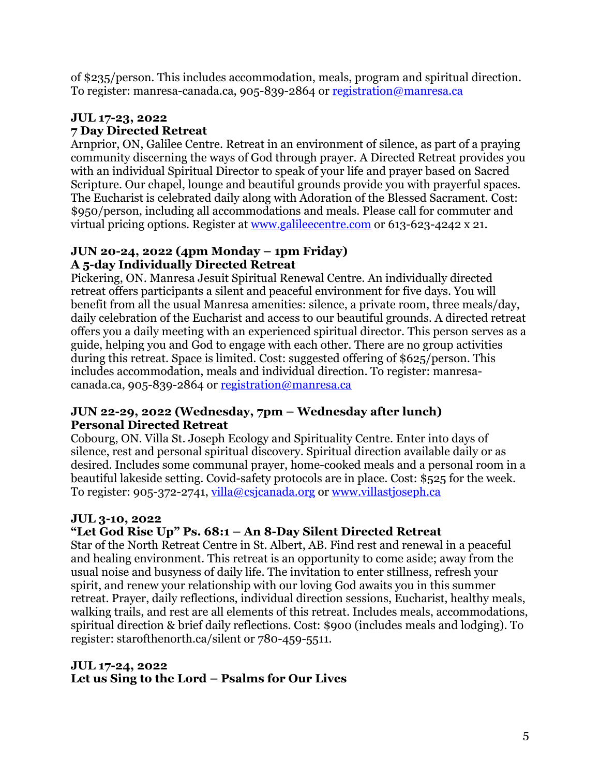of \$235/person. This includes accommodation, meals, program and spiritual direction. To register: manresa-canada.ca, 905-839-2864 or registration@manresa.ca

# **JUL 17-23, 2022 7 Day Directed Retreat**

Arnprior, ON, Galilee Centre. Retreat in an environment of silence, as part of a praying community discerning the ways of God through prayer. A Directed Retreat provides you with an individual Spiritual Director to speak of your life and prayer based on Sacred Scripture. Our chapel, lounge and beautiful grounds provide you with prayerful spaces. The Eucharist is celebrated daily along with Adoration of the Blessed Sacrament. Cost: \$950/person, including all accommodations and meals. Please call for commuter and virtual pricing options. Register at www.galileecentre.com or 613-623-4242 x 21.

# **JUN 20-24, 2022 (4pm Monday – 1pm Friday) A 5-day Individually Directed Retreat**

Pickering, ON. Manresa Jesuit Spiritual Renewal Centre. An individually directed retreat offers participants a silent and peaceful environment for five days. You will benefit from all the usual Manresa amenities: silence, a private room, three meals/day, daily celebration of the Eucharist and access to our beautiful grounds. A directed retreat offers you a daily meeting with an experienced spiritual director. This person serves as a guide, helping you and God to engage with each other. There are no group activities during this retreat. Space is limited. Cost: suggested offering of \$625/person. This includes accommodation, meals and individual direction. To register: manresacanada.ca, 905-839-2864 or registration@manresa.ca

## **JUN 22-29, 2022 (Wednesday, 7pm – Wednesday after lunch) Personal Directed Retreat**

Cobourg, ON. Villa St. Joseph Ecology and Spirituality Centre. Enter into days of silence, rest and personal spiritual discovery. Spiritual direction available daily or as desired. Includes some communal prayer, home-cooked meals and a personal room in a beautiful lakeside setting. Covid-safety protocols are in place. Cost: \$525 for the week. To register: 905-372-2741, villa@csjcanada.org or www.villastjoseph.ca

# **JUL 3-10, 2022**

# **"Let God Rise Up" Ps. 68:1 – An 8-Day Silent Directed Retreat**

Star of the North Retreat Centre in St. Albert, AB. Find rest and renewal in a peaceful and healing environment. This retreat is an opportunity to come aside; away from the usual noise and busyness of daily life. The invitation to enter stillness, refresh your spirit, and renew your relationship with our loving God awaits you in this summer retreat. Prayer, daily reflections, individual direction sessions, Eucharist, healthy meals, walking trails, and rest are all elements of this retreat. Includes meals, accommodations, spiritual direction & brief daily reflections. Cost: \$900 (includes meals and lodging). To register: starofthenorth.ca/silent or 780-459-5511.

## **JUL 17-24, 2022 Let us Sing to the Lord – Psalms for Our Lives**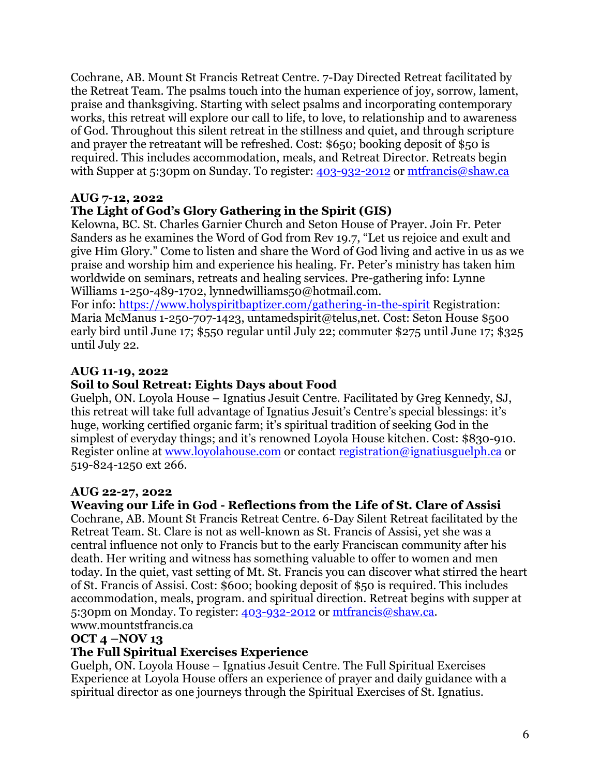Cochrane, AB. Mount St Francis Retreat Centre. 7-Day Directed Retreat facilitated by the Retreat Team. The psalms touch into the human experience of joy, sorrow, lament, praise and thanksgiving. Starting with select psalms and incorporating contemporary works, this retreat will explore our call to life, to love, to relationship and to awareness of God. Throughout this silent retreat in the stillness and quiet, and through scripture and prayer the retreatant will be refreshed. Cost: \$650; booking deposit of \$50 is required. This includes accommodation, meals, and Retreat Director. Retreats begin with Supper at 5:30pm on Sunday. To register: 403-932-2012 or mtfrancis@shaw.ca

### **AUG 7-12, 2022**

## **The Light of God's Glory Gathering in the Spirit (GIS)**

Kelowna, BC. St. Charles Garnier Church and Seton House of Prayer. Join Fr. Peter Sanders as he examines the Word of God from Rev 19.7, "Let us rejoice and exult and give Him Glory." Come to listen and share the Word of God living and active in us as we praise and worship him and experience his healing. Fr. Peter's ministry has taken him worldwide on seminars, retreats and healing services. Pre-gathering info: Lynne Williams 1-250-489-1702, lynnedwilliams50@hotmail.com.

For info: https://www.holyspiritbaptizer.com/gathering-in-the-spirit Registration: Maria McManus 1-250-707-1423, untamedspirit@telus,net. Cost: Seton House \$500 early bird until June 17; \$550 regular until July 22; commuter \$275 until June 17; \$325 until July 22.

#### **AUG 11-19, 2022**

#### **Soil to Soul Retreat: Eights Days about Food**

Guelph, ON. Loyola House – Ignatius Jesuit Centre. Facilitated by Greg Kennedy, SJ, this retreat will take full advantage of Ignatius Jesuit's Centre's special blessings: it's huge, working certified organic farm; it's spiritual tradition of seeking God in the simplest of everyday things; and it's renowned Loyola House kitchen. Cost: \$830-910. Register online at www.loyolahouse.com or contact registration@ignatiusguelph.ca or 519-824-1250 ext 266.

#### **AUG 22-27, 2022**

#### **Weaving our Life in God - Reflections from the Life of St. Clare of Assisi**

Cochrane, AB. Mount St Francis Retreat Centre. 6-Day Silent Retreat facilitated by the Retreat Team. St. Clare is not as well-known as St. Francis of Assisi, yet she was a central influence not only to Francis but to the early Franciscan community after his death. Her writing and witness has something valuable to offer to women and men today. In the quiet, vast setting of Mt. St. Francis you can discover what stirred the heart of St. Francis of Assisi. Cost: \$600; booking deposit of \$50 is required. This includes accommodation, meals, program. and spiritual direction. Retreat begins with supper at 5:30pm on Monday. To register: 403-932-2012 or mtfrancis@shaw.ca. www.mountstfrancis.ca

#### **OCT 4 –NOV 13**

#### **The Full Spiritual Exercises Experience**

Guelph, ON. Loyola House – Ignatius Jesuit Centre. The Full Spiritual Exercises Experience at Loyola House offers an experience of prayer and daily guidance with a spiritual director as one journeys through the Spiritual Exercises of St. Ignatius.